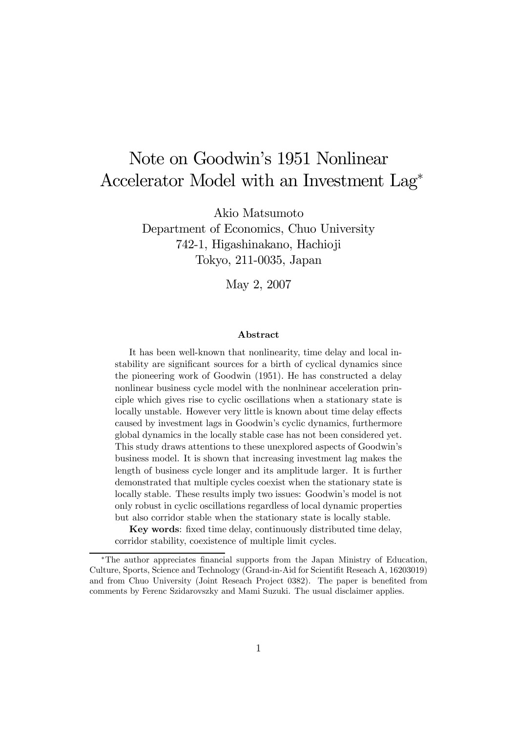# Note on Goodwin's 1951 Nonlinear Accelerator Model with an Investment Lag<sup>∗</sup>

Akio Matsumoto

Department of Economics, Chuo University 742-1, Higashinakano, Hachioji Tokyo, 211-0035, Japan

May 2, 2007

#### Abstract

It has been well-known that nonlinearity, time delay and local instability are significant sources for a birth of cyclical dynamics since the pioneering work of Goodwin (1951). He has constructed a delay nonlinear business cycle model with the nonlninear acceleration principle which gives rise to cyclic oscillations when a stationary state is locally unstable. However very little is known about time delay effects caused by investment lags in Goodwin's cyclic dynamics, furthermore global dynamics in the locally stable case has not been considered yet. This study draws attentions to these unexplored aspects of Goodwin's business model. It is shown that increasing investment lag makes the length of business cycle longer and its amplitude larger. It is further demonstrated that multiple cycles coexist when the stationary state is locally stable. These results imply two issues: Goodwin's model is not only robust in cyclic oscillations regardless of local dynamic properties but also corridor stable when the stationary state is locally stable.

Key words: fixed time delay, continuously distributed time delay, corridor stability, coexistence of multiple limit cycles.

<sup>∗</sup>The author appreciates financial supports from the Japan Ministry of Education, Culture, Sports, Science and Technology (Grand-in-Aid for Scientifit Reseach A, 16203019) and from Chuo University (Joint Reseach Project 0382). The paper is benefited from comments by Ferenc Szidarovszky and Mami Suzuki. The usual disclaimer applies.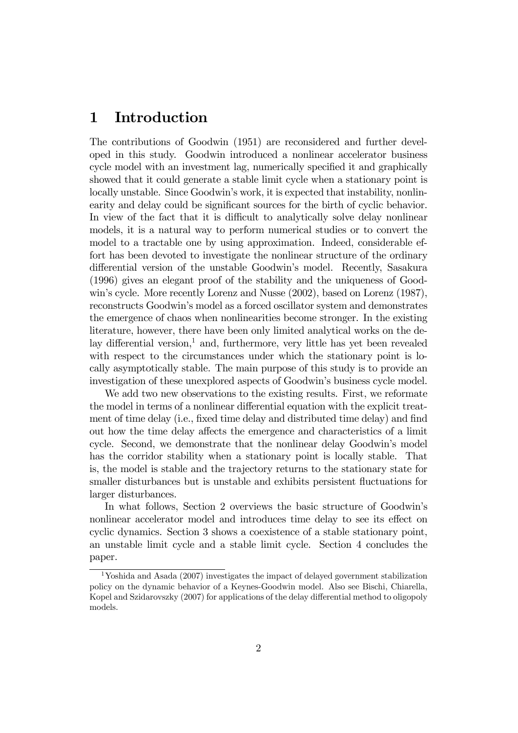# 1 Introduction

The contributions of Goodwin (1951) are reconsidered and further developed in this study. Goodwin introduced a nonlinear accelerator business cycle model with an investment lag, numerically specified it and graphically showed that it could generate a stable limit cycle when a stationary point is locally unstable. Since Goodwin's work, it is expected that instability, nonlinearity and delay could be significant sources for the birth of cyclic behavior. In view of the fact that it is difficult to analytically solve delay nonlinear models, it is a natural way to perform numerical studies or to convert the model to a tractable one by using approximation. Indeed, considerable effort has been devoted to investigate the nonlinear structure of the ordinary differential version of the unstable Goodwin's model. Recently, Sasakura (1996) gives an elegant proof of the stability and the uniqueness of Goodwin's cycle. More recently Lorenz and Nusse (2002), based on Lorenz (1987), reconstructs Goodwin's model as a forced oscillator system and demonstrates the emergence of chaos when nonlinearities become stronger. In the existing literature, however, there have been only limited analytical works on the delay differential version, $<sup>1</sup>$  and, furthermore, very little has yet been revealed</sup> with respect to the circumstances under which the stationary point is locally asymptotically stable. The main purpose of this study is to provide an investigation of these unexplored aspects of Goodwin's business cycle model.

We add two new observations to the existing results. First, we reformate the model in terms of a nonlinear differential equation with the explicit treatment of time delay (i.e., fixed time delay and distributed time delay) and find out how the time delay affects the emergence and characteristics of a limit cycle. Second, we demonstrate that the nonlinear delay Goodwin's model has the corridor stability when a stationary point is locally stable. That is, the model is stable and the trajectory returns to the stationary state for smaller disturbances but is unstable and exhibits persistent fluctuations for larger disturbances.

In what follows, Section 2 overviews the basic structure of Goodwin's nonlinear accelerator model and introduces time delay to see its effect on cyclic dynamics. Section 3 shows a coexistence of a stable stationary point, an unstable limit cycle and a stable limit cycle. Section 4 concludes the paper.

<sup>1</sup>Yoshida and Asada (2007) investigates the impact of delayed government stabilization policy on the dynamic behavior of a Keynes-Goodwin model. Also see Bischi, Chiarella, Kopel and Szidarovszky (2007) for applications of the delay differential method to oligopoly models.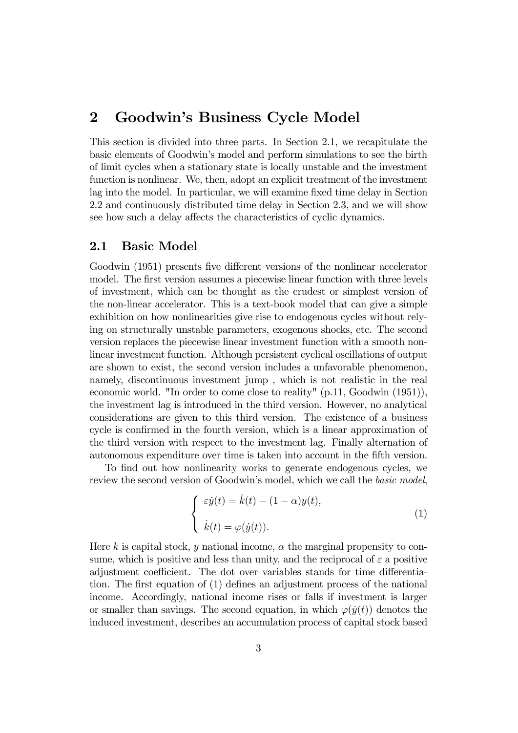# 2 Goodwin's Business Cycle Model

This section is divided into three parts. In Section 2.1, we recapitulate the basic elements of Goodwin's model and perform simulations to see the birth of limit cycles when a stationary state is locally unstable and the investment function is nonlinear. We, then, adopt an explicit treatment of the investment lag into the model. In particular, we will examine fixed time delay in Section 2.2 and continuously distributed time delay in Section 2.3, and we will show see how such a delay affects the characteristics of cyclic dynamics.

### 2.1 Basic Model

Goodwin (1951) presents five different versions of the nonlinear accelerator model. The first version assumes a piecewise linear function with three levels of investment, which can be thought as the crudest or simplest version of the non-linear accelerator. This is a text-book model that can give a simple exhibition on how nonlinearities give rise to endogenous cycles without relying on structurally unstable parameters, exogenous shocks, etc. The second version replaces the piecewise linear investment function with a smooth nonlinear investment function. Although persistent cyclical oscillations of output are shown to exist, the second version includes a unfavorable phenomenon, namely, discontinuous investment jump , which is not realistic in the real economic world. "In order to come close to reality" (p.11, Goodwin (1951)), the investment lag is introduced in the third version. However, no analytical considerations are given to this third version. The existence of a business cycle is confirmed in the fourth version, which is a linear approximation of the third version with respect to the investment lag. Finally alternation of autonomous expenditure over time is taken into account in the fifth version.

To find out how nonlinearity works to generate endogenous cycles, we review the second version of Goodwin's model, which we call the *basic model*,

$$
\begin{cases}\n\varepsilon \dot{y}(t) = \dot{k}(t) - (1 - \alpha)y(t), \\
\dot{k}(t) = \varphi(\dot{y}(t)).\n\end{cases} (1)
$$

Here k is capital stock, y national income,  $\alpha$  the marginal propensity to consume, which is positive and less than unity, and the reciprocal of  $\varepsilon$  a positive adjustment coefficient. The dot over variables stands for time differentiation. The first equation of (1) defines an adjustment process of the national income. Accordingly, national income rises or falls if investment is larger or smaller than savings. The second equation, in which  $\varphi(\dot{y}(t))$  denotes the induced investment, describes an accumulation process of capital stock based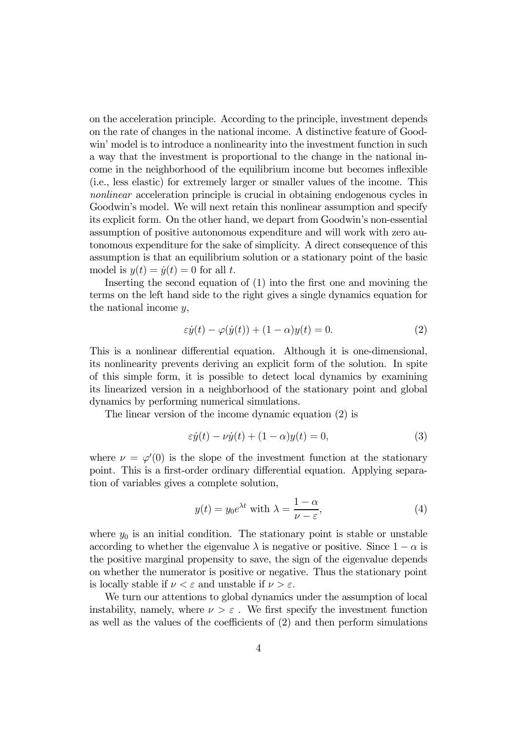on the acceleration principle. According to the principle, investment depends on the rate of changes in the national income. A distinctive feature of Goodwin' model is to introduce a nonlinearity into the investment function in such a way that the investment is proportional to the change in the national income in the neighborhood of the equilibrium income but becomes inflexible (i.e., less elastic) for extremely larger or smaller values of the income. This nonlinear acceleration principle is crucial in obtaining endogenous cycles in Goodwin's model. We will next retain this nonlinear assumption and specify its explicit form. On the other hand, we depart from Goodwin's non-essential assumption of positive autonomous expenditure and will work with zero autonomous expenditure for the sake of simplicity. A direct consequence of this assumption is that an equilibrium solution or a stationary point of the basic model is  $y(t) = \dot{y}(t) = 0$  for all t.

Inserting the second equation of (1) into the first one and movining the terms on the left hand side to the right gives a single dynamics equation for the national income y,

$$
\varepsilon \dot{y}(t) - \varphi(\dot{y}(t)) + (1 - \alpha)y(t) = 0.
$$
 (2)

This is a nonlinear differential equation. Although it is one-dimensional, its nonlinearity prevents deriving an explicit form of the solution. In spite of this simple form, it is possible to detect local dynamics by examining its linearized version in a neighborhood of the stationary point and global dynamics by performing numerical simulations.

The linear version of the income dynamic equation (2) is

$$
\varepsilon \dot{y}(t) - \nu \dot{y}(t) + (1 - \alpha)y(t) = 0,\tag{3}
$$

where  $\nu = \varphi'(0)$  is the slope of the investment function at the stationary point. This is a first-order ordinary differential equation. Applying separation of variables gives a complete solution,

$$
y(t) = y_0 e^{\lambda t} \text{ with } \lambda = \frac{1 - \alpha}{\nu - \varepsilon},\tag{4}
$$

where  $y_0$  is an initial condition. The stationary point is stable or unstable according to whether the eigenvalue  $\lambda$  is negative or positive. Since  $1 - \alpha$  is the positive marginal propensity to save, the sign of the eigenvalue depends on whether the numerator is positive or negative. Thus the stationary point is locally stable if  $\nu < \varepsilon$  and unstable if  $\nu > \varepsilon$ .

We turn our attentions to global dynamics under the assumption of local instability, namely, where  $\nu > \varepsilon$ . We first specify the investment function as well as the values of the coefficients of (2) and then perform simulations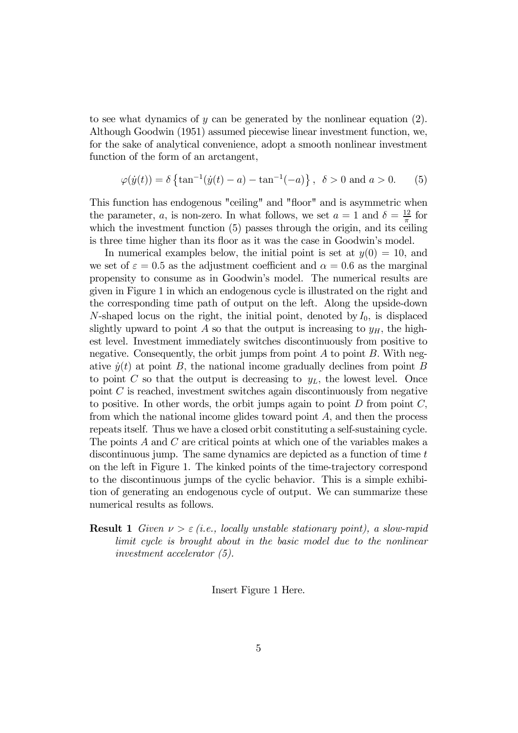to see what dynamics of  $y$  can be generated by the nonlinear equation (2). Although Goodwin (1951) assumed piecewise linear investment function, we, for the sake of analytical convenience, adopt a smooth nonlinear investment function of the form of an arctangent,

$$
\varphi(\dot{y}(t)) = \delta \left\{ \tan^{-1}(\dot{y}(t) - a) - \tan^{-1}(-a) \right\}, \ \delta > 0 \text{ and } a > 0. \tag{5}
$$

This function has endogenous "ceiling" and "floor" and is asymmetric when the parameter, a, is non-zero. In what follows, we set  $a = 1$  and  $\delta = \frac{12}{\pi}$  for which the investment function  $(5)$  passes through the origin, and its ceiling is three time higher than its floor as it was the case in Goodwin's model.

In numerical examples below, the initial point is set at  $y(0) = 10$ , and we set of  $\varepsilon = 0.5$  as the adjustment coefficient and  $\alpha = 0.6$  as the marginal propensity to consume as in Goodwin's model. The numerical results are given in Figure 1 in which an endogenous cycle is illustrated on the right and the corresponding time path of output on the left. Along the upside-down N-shaped locus on the right, the initial point, denoted by  $I_0$ , is displaced slightly upward to point A so that the output is increasing to  $y_H$ , the highest level. Investment immediately switches discontinuously from positive to negative. Consequently, the orbit jumps from point  $A$  to point  $B$ . With negative  $\dot{y}(t)$  at point B, the national income gradually declines from point B to point C so that the output is decreasing to  $y_L$ , the lowest level. Once point  $C$  is reached, investment switches again discontinuously from negative to positive. In other words, the orbit jumps again to point  $D$  from point  $C$ , from which the national income glides toward point  $A$ , and then the process repeats itself. Thus we have a closed orbit constituting a self-sustaining cycle. The points A and C are critical points at which one of the variables makes a discontinuous jump. The same dynamics are depicted as a function of time  $t$ on the left in Figure 1. The kinked points of the time-trajectory correspond to the discontinuous jumps of the cyclic behavior. This is a simple exhibition of generating an endogenous cycle of output. We can summarize these numerical results as follows.

**Result 1** Given  $\nu > \varepsilon$  (i.e., locally unstable stationary point), a slow-rapid limit cycle is brought about in the basic model due to the nonlinear investment accelerator (5).

Insert Figure 1 Here.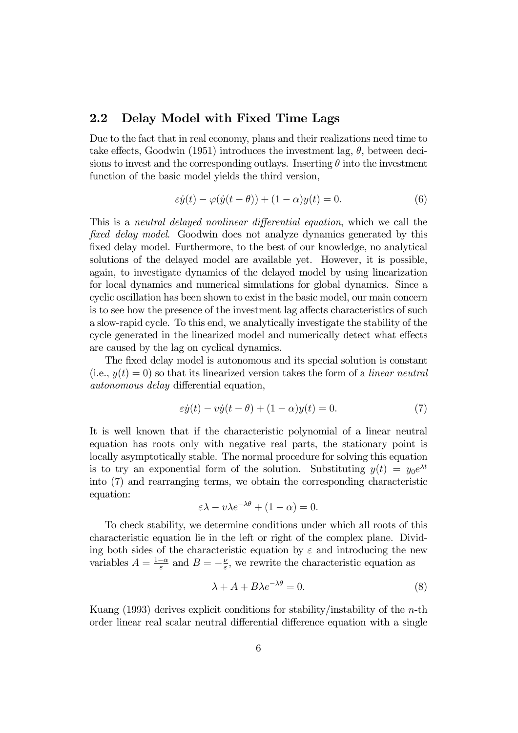# 2.2 Delay Model with Fixed Time Lags

Due to the fact that in real economy, plans and their realizations need time to take effects, Goodwin (1951) introduces the investment lag,  $\theta$ , between decisions to invest and the corresponding outlays. Inserting  $\theta$  into the investment function of the basic model yields the third version,

$$
\varepsilon \dot{y}(t) - \varphi(\dot{y}(t-\theta)) + (1-\alpha)y(t) = 0.
$$
\n(6)

This is a neutral delayed nonlinear differential equation, which we call the fixed delay model. Goodwin does not analyze dynamics generated by this fixed delay model. Furthermore, to the best of our knowledge, no analytical solutions of the delayed model are available yet. However, it is possible, again, to investigate dynamics of the delayed model by using linearization for local dynamics and numerical simulations for global dynamics. Since a cyclic oscillation has been shown to exist in the basic model, our main concern is to see how the presence of the investment lag affects characteristics of such a slow-rapid cycle. To this end, we analytically investigate the stability of the cycle generated in the linearized model and numerically detect what effects are caused by the lag on cyclical dynamics.

The fixed delay model is autonomous and its special solution is constant (i.e.,  $y(t)=0$ ) so that its linearized version takes the form of a *linear neutral* autonomous delay differential equation,

$$
\varepsilon \dot{y}(t) - v\dot{y}(t - \theta) + (1 - \alpha)y(t) = 0.
$$
\n(7)

It is well known that if the characteristic polynomial of a linear neutral equation has roots only with negative real parts, the stationary point is locally asymptotically stable. The normal procedure for solving this equation is to try an exponential form of the solution. Substituting  $y(t) = y_0 e^{\lambda t}$ into (7) and rearranging terms, we obtain the corresponding characteristic equation:

$$
\varepsilon \lambda - v \lambda e^{-\lambda \theta} + (1 - \alpha) = 0.
$$

To check stability, we determine conditions under which all roots of this characteristic equation lie in the left or right of the complex plane. Dividing both sides of the characteristic equation by  $\varepsilon$  and introducing the new variables  $A = \frac{1-\alpha}{\varepsilon}$  and  $B = -\frac{\nu}{\varepsilon}$ , we rewrite the characteristic equation as

$$
\lambda + A + B\lambda e^{-\lambda \theta} = 0. \tag{8}
$$

Kuang  $(1993)$  derives explicit conditions for stability/instability of the *n*-th order linear real scalar neutral differential difference equation with a single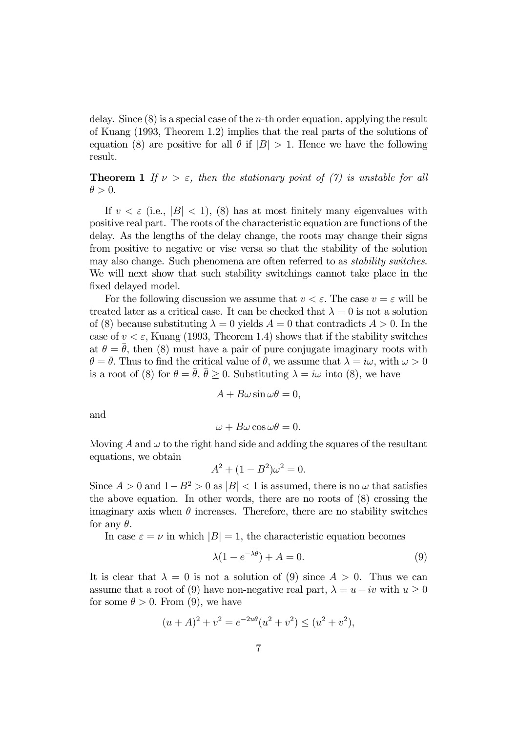delay. Since  $(8)$  is a special case of the *n*-th order equation, applying the result of Kuang (1993, Theorem 1.2) implies that the real parts of the solutions of equation (8) are positive for all  $\theta$  if  $|B| > 1$ . Hence we have the following result.

**Theorem 1** If  $\nu > \varepsilon$ , then the stationary point of (7) is unstable for all  $\theta > 0$ .

If  $v < \varepsilon$  (i.e.,  $|B| < 1$ ), (8) has at most finitely many eigenvalues with positive real part. The roots of the characteristic equation are functions of the delay. As the lengths of the delay change, the roots may change their signs from positive to negative or vise versa so that the stability of the solution may also change. Such phenomena are often referred to as stability switches. We will next show that such stability switchings cannot take place in the fixed delayed model.

For the following discussion we assume that  $v < \varepsilon$ . The case  $v = \varepsilon$  will be treated later as a critical case. It can be checked that  $\lambda = 0$  is not a solution of (8) because substituting  $\lambda = 0$  yields  $A = 0$  that contradicts  $A > 0$ . In the case of  $v < \varepsilon$ , Kuang (1993, Theorem 1.4) shows that if the stability switches at  $\theta = \bar{\theta}$ , then (8) must have a pair of pure conjugate imaginary roots with  $\theta = \bar{\theta}$ . Thus to find the critical value of  $\bar{\theta}$ , we assume that  $\lambda = i\omega$ , with  $\omega > 0$ is a root of (8) for  $\theta = \bar{\theta}$ ,  $\bar{\theta} \ge 0$ . Substituting  $\lambda = i\omega$  into (8), we have

$$
A + B\omega\sin\omega\theta = 0,
$$

and

$$
\omega + B\omega\cos\omega\theta = 0.
$$

Moving A and  $\omega$  to the right hand side and adding the squares of the resultant equations, we obtain

$$
A^2 + (1 - B^2)\omega^2 = 0.
$$

Since  $A > 0$  and  $1 - B^2 > 0$  as  $|B| < 1$  is assumed, there is no  $\omega$  that satisfies the above equation. In other words, there are no roots of (8) crossing the imaginary axis when  $\theta$  increases. Therefore, there are no stability switches for any  $\theta$ .

In case  $\varepsilon = \nu$  in which  $|B| = 1$ , the characteristic equation becomes

$$
\lambda(1 - e^{-\lambda \theta}) + A = 0. \tag{9}
$$

It is clear that  $\lambda = 0$  is not a solution of (9) since  $A > 0$ . Thus we can assume that a root of (9) have non-negative real part,  $\lambda = u + iv$  with  $u > 0$ for some  $\theta > 0$ . From (9), we have

$$
(u+A)^2 + v^2 = e^{-2u\theta}(u^2 + v^2) \le (u^2 + v^2),
$$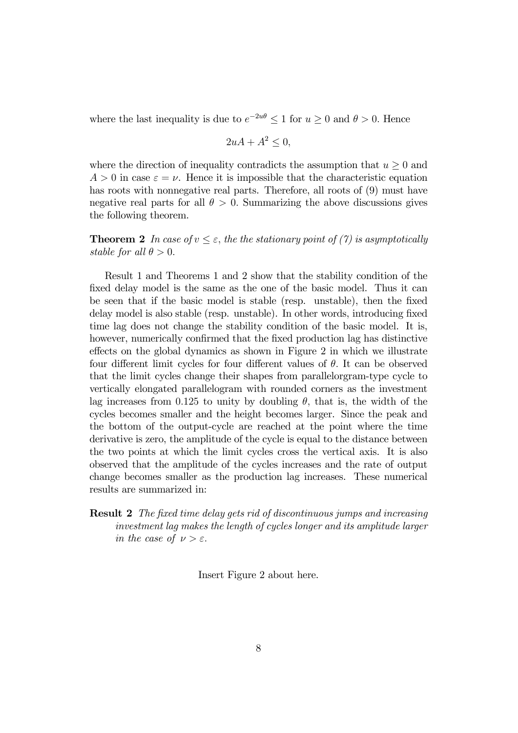where the last inequality is due to  $e^{-2u\theta} \leq 1$  for  $u \geq 0$  and  $\theta > 0$ . Hence

$$
2uA + A^2 \le 0,
$$

where the direction of inequality contradicts the assumption that  $u \geq 0$  and  $A > 0$  in case  $\varepsilon = \nu$ . Hence it is impossible that the characteristic equation has roots with nonnegative real parts. Therefore, all roots of  $(9)$  must have negative real parts for all  $\theta > 0$ . Summarizing the above discussions gives the following theorem.

**Theorem 2** In case of  $v \leq \varepsilon$ , the the stationary point of (7) is asymptotically stable for all  $\theta > 0$ .

Result 1 and Theorems 1 and 2 show that the stability condition of the fixed delay model is the same as the one of the basic model. Thus it can be seen that if the basic model is stable (resp. unstable), then the fixed delay model is also stable (resp. unstable). In other words, introducing fixed time lag does not change the stability condition of the basic model. It is, however, numerically confirmed that the fixed production lag has distinctive effects on the global dynamics as shown in Figure 2 in which we illustrate four different limit cycles for four different values of  $\theta$ . It can be observed that the limit cycles change their shapes from parallelorgram-type cycle to vertically elongated parallelogram with rounded corners as the investment lag increases from 0.125 to unity by doubling  $\theta$ , that is, the width of the cycles becomes smaller and the height becomes larger. Since the peak and the bottom of the output-cycle are reached at the point where the time derivative is zero, the amplitude of the cycle is equal to the distance between the two points at which the limit cycles cross the vertical axis. It is also observed that the amplitude of the cycles increases and the rate of output change becomes smaller as the production lag increases. These numerical results are summarized in:

### Result 2 The fixed time delay gets rid of discontinuous jumps and increasing investment lag makes the length of cycles longer and its amplitude larger in the case of  $\nu > \varepsilon$ .

Insert Figure 2 about here.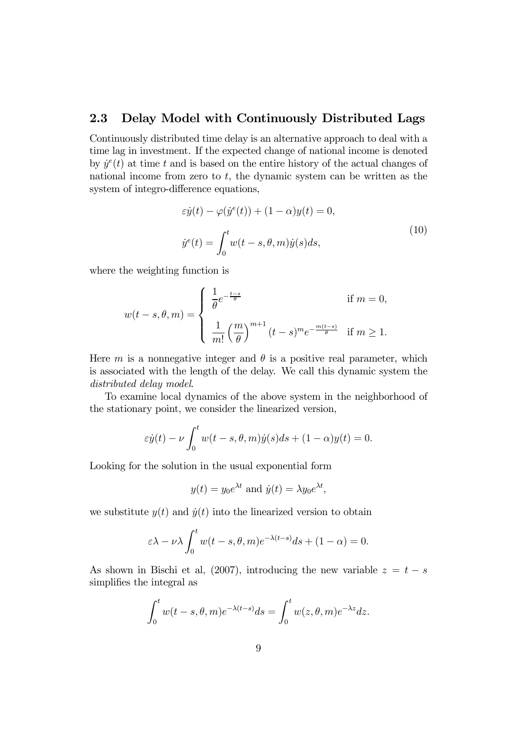### 2.3 Delay Model with Continuously Distributed Lags

Continuously distributed time delay is an alternative approach to deal with a time lag in investment. If the expected change of national income is denoted by  $\dot{y}^e(t)$  at time t and is based on the entire history of the actual changes of national income from zero to  $t$ , the dynamic system can be written as the system of integro-difference equations,

$$
\varepsilon \dot{y}(t) - \varphi(\dot{y}^e(t)) + (1 - \alpha)y(t) = 0,
$$
  

$$
\dot{y}^e(t) = \int_0^t w(t - s, \theta, m)\dot{y}(s)ds,
$$
 (10)

where the weighting function is

$$
w(t-s,\theta,m) = \begin{cases} \frac{1}{\theta}e^{-\frac{t-s}{\theta}} & \text{if } m = 0, \\ \frac{1}{m!} \left(\frac{m}{\theta}\right)^{m+1} (t-s)^m e^{-\frac{m(t-s)}{\theta}} & \text{if } m \ge 1. \end{cases}
$$

Here m is a nonnegative integer and  $\theta$  is a positive real parameter, which is associated with the length of the delay. We call this dynamic system the distributed delay model.

To examine local dynamics of the above system in the neighborhood of the stationary point, we consider the linearized version,

$$
\varepsilon \dot{y}(t) - \nu \int_0^t w(t-s,\theta,m)\dot{y}(s)ds + (1-\alpha)y(t) = 0.
$$

Looking for the solution in the usual exponential form

$$
y(t) = y_0 e^{\lambda t}
$$
 and  $\dot{y}(t) = \lambda y_0 e^{\lambda t}$ ,

we substitute  $y(t)$  and  $\dot{y}(t)$  into the linearized version to obtain

$$
\varepsilon\lambda-\nu\lambda\int_0^t w(t-s,\theta,m)e^{-\lambda(t-s)}ds+(1-\alpha)=0.
$$

As shown in Bischi et al, (2007), introducing the new variable  $z = t - s$ simplifies the integral as

$$
\int_0^t w(t-s,\theta,m)e^{-\lambda(t-s)}ds = \int_0^t w(z,\theta,m)e^{-\lambda z}dz.
$$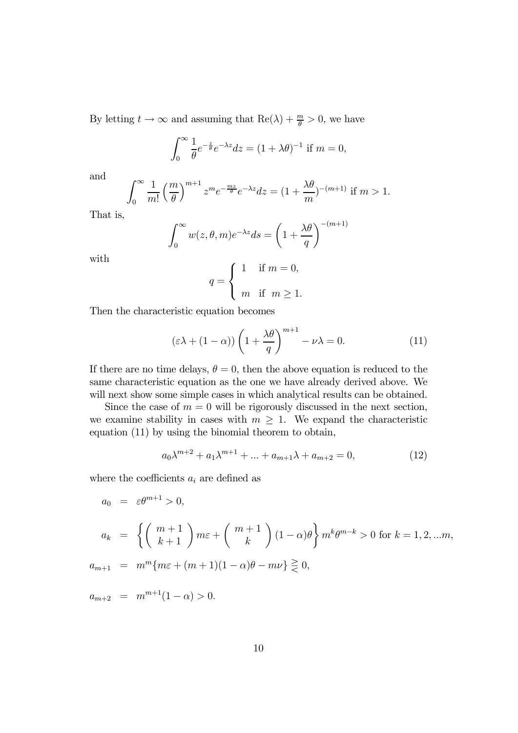By letting  $t \to \infty$  and assuming that  $\text{Re}(\lambda) + \frac{m}{\theta} > 0$ , we have

$$
\int_0^\infty \frac{1}{\theta} e^{-\frac{z}{\theta}} e^{-\lambda z} dz = (1 + \lambda \theta)^{-1}
$$
 if  $m = 0$ ,

and

$$
\int_0^\infty \frac{1}{m!} \left(\frac{m}{\theta}\right)^{m+1} z^m e^{-\frac{mz}{\theta}} e^{-\lambda z} dz = (1 + \frac{\lambda \theta}{m})^{-(m+1)}
$$
 if  $m > 1$ .

That is,

$$
\int_0^\infty w(z,\theta,m)e^{-\lambda z}ds = \left(1 + \frac{\lambda \theta}{q}\right)^{-(m+1)}
$$

with

$$
q = \begin{cases} 1 & \text{if } m = 0, \\ m & \text{if } m \ge 1. \end{cases}
$$

Then the characteristic equation becomes

$$
(\varepsilon\lambda + (1 - \alpha))\left(1 + \frac{\lambda\theta}{q}\right)^{m+1} - \nu\lambda = 0.
$$
 (11)

If there are no time delays,  $\theta = 0$ , then the above equation is reduced to the same characteristic equation as the one we have already derived above. We will next show some simple cases in which analytical results can be obtained.

Since the case of  $m = 0$  will be rigorously discussed in the next section, we examine stability in cases with  $m \geq 1$ . We expand the characteristic equation (11) by using the binomial theorem to obtain,

$$
a_0 \lambda^{m+2} + a_1 \lambda^{m+1} + \dots + a_{m+1} \lambda + a_{m+2} = 0,
$$
\n(12)

where the coefficients  $a_i$  are defined as

$$
a_0 = \varepsilon \theta^{m+1} > 0,
$$
  
\n
$$
a_k = \left\{ \left( \begin{array}{c} m+1 \\ k+1 \end{array} \right) m\varepsilon + \left( \begin{array}{c} m+1 \\ k \end{array} \right) (1-\alpha)\theta \right\} m^k \theta^{m-k} > 0 \text{ for } k = 1, 2, \dots m,
$$
  
\n
$$
a_{m+1} = m^m \{ m\varepsilon + (m+1)(1-\alpha)\theta - m\nu \} \geq 0,
$$

 $a_{m+2} = m^{m+1}(1-\alpha) > 0.$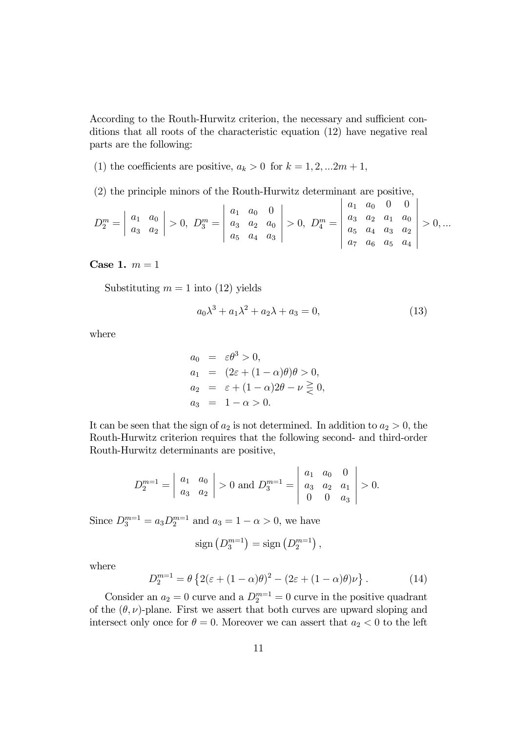According to the Routh-Hurwitz criterion, the necessary and sufficient conditions that all roots of the characteristic equation (12) have negative real parts are the following:

(1) the coefficients are positive,  $a_k > 0$  for  $k = 1, 2, ... 2m + 1$ ,

(2) the principle minors of the Routh-Hurwitz determinant are positive,

$$
D_2^m = \begin{vmatrix} a_1 & a_0 \\ a_3 & a_2 \end{vmatrix} > 0, \ D_3^m = \begin{vmatrix} a_1 & a_0 & 0 \\ a_3 & a_2 & a_0 \\ a_5 & a_4 & a_3 \end{vmatrix} > 0, \ D_4^m = \begin{vmatrix} a_1 & a_0 & 0 & 0 \\ a_3 & a_2 & a_1 & a_0 \\ a_5 & a_4 & a_3 & a_2 \\ a_7 & a_6 & a_5 & a_4 \end{vmatrix} > 0, \dots
$$

Case 1.  $m = 1$ 

Substituting  $m = 1$  into (12) yields

$$
a_0\lambda^3 + a_1\lambda^2 + a_2\lambda + a_3 = 0,\tag{13}
$$

where

$$
a_0 = \varepsilon \theta^3 > 0,
$$
  
\n
$$
a_1 = (2\varepsilon + (1 - \alpha)\theta)\theta > 0,
$$
  
\n
$$
a_2 = \varepsilon + (1 - \alpha)2\theta - \nu \ge 0,
$$
  
\n
$$
a_3 = 1 - \alpha > 0.
$$

It can be seen that the sign of  $a_2$  is not determined. In addition to  $a_2 > 0$ , the Routh-Hurwitz criterion requires that the following second- and third-order Routh-Hurwitz determinants are positive,

$$
D_2^{m=1} = \begin{vmatrix} a_1 & a_0 \\ a_3 & a_2 \end{vmatrix} > 0 \text{ and } D_3^{m=1} = \begin{vmatrix} a_1 & a_0 & 0 \\ a_3 & a_2 & a_1 \\ 0 & 0 & a_3 \end{vmatrix} > 0.
$$

Since  $D_3^{m=1} = a_3 D_2^{m=1}$  and  $a_3 = 1 - \alpha > 0$ , we have

$$
sign\left(D_3^{m=1}\right) = sign\left(D_2^{m=1}\right),\,
$$

where

$$
D_2^{m=1} = \theta \left\{ 2(\varepsilon + (1 - \alpha)\theta)^2 - (2\varepsilon + (1 - \alpha)\theta)\nu \right\}.
$$
 (14)

Consider an  $a_2 = 0$  curve and a  $D_2^{m=1} = 0$  curve in the positive quadrant of the  $(\theta, \nu)$ -plane. First we assert that both curves are upward sloping and intersect only once for  $\theta = 0$ . Moreover we can assert that  $a_2 < 0$  to the left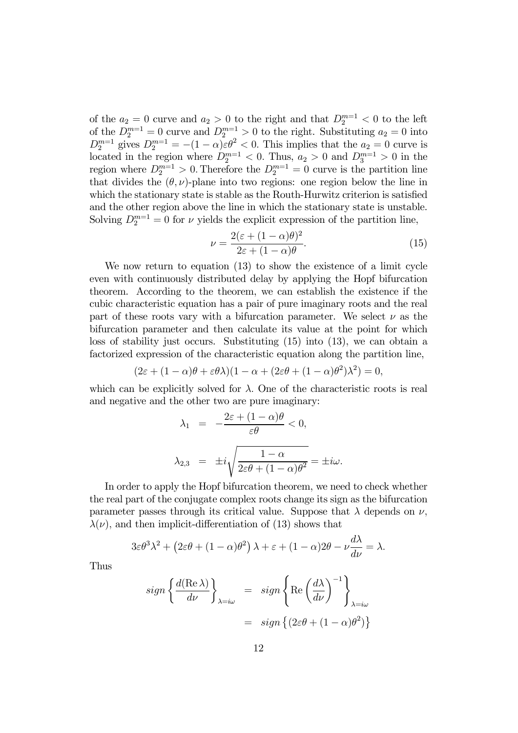of the  $a_2 = 0$  curve and  $a_2 > 0$  to the right and that  $D_2^{m=1} < 0$  to the left of the  $D_2^{m=1} = 0$  curve and  $D_2^{m=1} > 0$  to the right. Substituting  $a_2 = 0$  into  $D_2^{m=1}$  gives  $D_2^{m=1} = -(1-\alpha)\varepsilon\theta^2 < 0$ . This implies that the  $a_2 = 0$  curve is located in the region where  $D_2^{m=1} < 0$ . Thus,  $a_2 > 0$  and  $D_3^{m=1} > 0$  in the region where  $D_2^{m=1} > 0$ . Therefore the  $D_2^{m=1} = 0$  curve is the partition line that divides the  $(\theta, \nu)$ -plane into two regions: one region below the line in which the stationary state is stable as the Routh-Hurwitz criterion is satisfied and the other region above the line in which the stationary state is unstable. Solving  $D_2^{m=1} = 0$  for  $\nu$  yields the explicit expression of the partition line,

$$
\nu = \frac{2(\varepsilon + (1 - \alpha)\theta)^2}{2\varepsilon + (1 - \alpha)\theta}.\tag{15}
$$

We now return to equation (13) to show the existence of a limit cycle even with continuously distributed delay by applying the Hopf bifurcation theorem. According to the theorem, we can establish the existence if the cubic characteristic equation has a pair of pure imaginary roots and the real part of these roots vary with a bifurcation parameter. We select  $\nu$  as the bifurcation parameter and then calculate its value at the point for which loss of stability just occurs. Substituting (15) into (13), we can obtain a factorized expression of the characteristic equation along the partition line,

$$
(2\varepsilon + (1 - \alpha)\theta + \varepsilon\theta\lambda)(1 - \alpha + (2\varepsilon\theta + (1 - \alpha)\theta^2)\lambda^2) = 0,
$$

which can be explicitly solved for  $\lambda$ . One of the characteristic roots is real and negative and the other two are pure imaginary:

$$
\lambda_1 = -\frac{2\varepsilon + (1 - \alpha)\theta}{\varepsilon\theta} < 0,
$$
  

$$
\lambda_{2,3} = \pm i\sqrt{\frac{1 - \alpha}{2\varepsilon\theta + (1 - \alpha)\theta^2}} = \pm i\omega.
$$

In order to apply the Hopf bifurcation theorem, we need to check whether the real part of the conjugate complex roots change its sign as the bifurcation parameter passes through its critical value. Suppose that  $\lambda$  depends on  $\nu$ ,  $\lambda(\nu)$ , and then implicit-differentiation of (13) shows that

$$
3\varepsilon\theta^3\lambda^2 + (2\varepsilon\theta + (1-\alpha)\theta^2)\lambda + \varepsilon + (1-\alpha)2\theta - \nu\frac{d\lambda}{d\nu} = \lambda.
$$

Thus

$$
sign\left\{\frac{d(\text{Re }\lambda)}{d\nu}\right\}_{\lambda=i\omega} = sign\left\{\text{Re}\left(\frac{d\lambda}{d\nu}\right)^{-1}\right\}_{\lambda=i\omega}
$$

$$
= sign\left\{(2\varepsilon\theta + (1-\alpha)\theta^2)\right\}
$$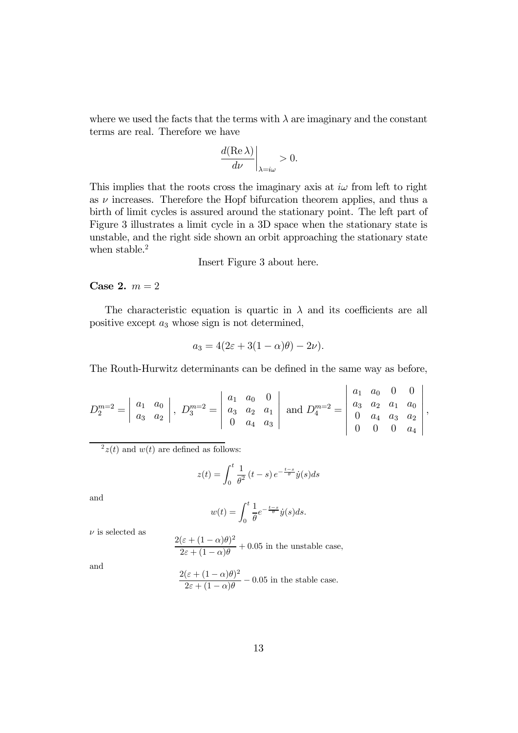where we used the facts that the terms with  $\lambda$  are imaginary and the constant terms are real. Therefore we have

$$
\left. \frac{d(\text{Re }\lambda)}{d\nu} \right|_{\lambda = i\omega} > 0.
$$

This implies that the roots cross the imaginary axis at  $i\omega$  from left to right as  $\nu$  increases. Therefore the Hopf bifurcation theorem applies, and thus a birth of limit cycles is assured around the stationary point. The left part of Figure 3 illustrates a limit cycle in a 3D space when the stationary state is unstable, and the right side shown an orbit approaching the stationary state when stable.<sup>2</sup>

Insert Figure 3 about here.

#### Case 2.  $m = 2$

The characteristic equation is quartic in  $\lambda$  and its coefficients are all positive except  $a_3$  whose sign is not determined,

$$
a_3 = 4(2\varepsilon + 3(1 - \alpha)\theta) - 2\nu).
$$

The Routh-Hurwitz determinants can be defined in the same way as before,

 $\overline{a}$ 

$$
D_2^{m=2} = \begin{vmatrix} a_1 & a_0 \\ a_3 & a_2 \end{vmatrix}, \ D_3^{m=2} = \begin{vmatrix} a_1 & a_0 & 0 \\ a_3 & a_2 & a_1 \\ 0 & a_4 & a_3 \end{vmatrix} \text{ and } D_4^{m=2} = \begin{vmatrix} a_1 & a_0 & 0 & 0 \\ a_3 & a_2 & a_1 & a_0 \\ 0 & a_4 & a_3 & a_2 \\ 0 & 0 & 0 & a_4 \end{vmatrix},
$$

 $^{2}z(t)$  and  $w(t)$  are defined as follows:

$$
z(t) = \int_0^t \frac{1}{\theta^2} (t - s) e^{-\frac{t - s}{\theta}} \dot{y}(s) ds
$$

and

$$
w(t) = \int_0^t \frac{1}{\theta} e^{-\frac{t-s}{\theta}} \dot{y}(s) ds.
$$

 $\nu$  is selected as

$$
\frac{2(\varepsilon + (1 - \alpha)\theta)^2}{2\varepsilon + (1 - \alpha)\theta} + 0.05
$$
 in the unstable case,

and

$$
\frac{2(\varepsilon + (1 - \alpha)\theta)^2}{2\varepsilon + (1 - \alpha)\theta} - 0.05
$$
 in the stable case.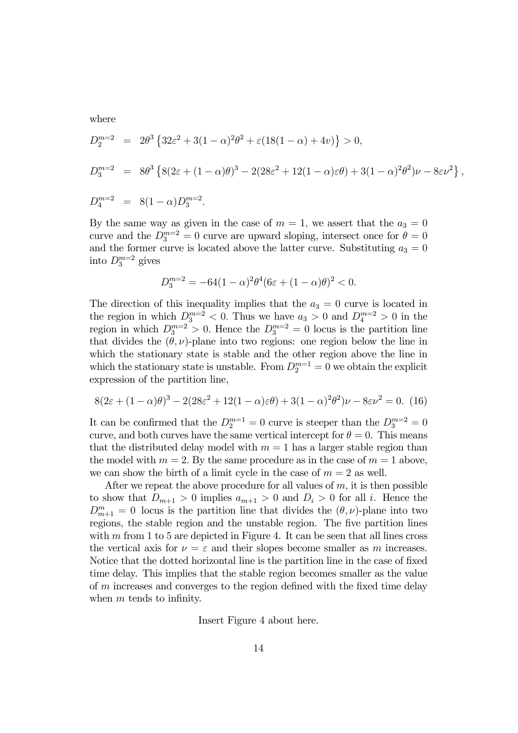where

$$
D_2^{m=2} = 2\theta^3 \left\{ 32\varepsilon^2 + 3(1-\alpha)^2 \theta^2 + \varepsilon (18(1-\alpha) + 4v) \right\} > 0,
$$
  
\n
$$
D_3^{m=2} = 8\theta^3 \left\{ 8(2\varepsilon + (1-\alpha)\theta)^3 - 2(28\varepsilon^2 + 12(1-\alpha)\varepsilon\theta) + 3(1-\alpha)^2 \theta^2) \nu - 8\varepsilon \nu^2 \right\},
$$
  
\n
$$
D_4^{m=2} = 8(1-\alpha)D_3^{m=2}.
$$

By the same way as given in the case of  $m = 1$ , we assert that the  $a_3 = 0$ curve and the  $D_3^{m=2} = 0$  curve are upward sloping, intersect once for  $\theta = 0$ and the former curve is located above the latter curve. Substituting  $a_3 = 0$ into  $D_3^{m=2}$  gives

$$
D_3^{m=2} = -64(1-\alpha)^2 \theta^4 (6\varepsilon + (1-\alpha)\theta)^2 < 0.
$$

The direction of this inequality implies that the  $a_3 = 0$  curve is located in the region in which  $D_3^{m=2} < 0$ . Thus we have  $a_3 > 0$  and  $D_4^{m=2} > 0$  in the region in which  $D_3^{m=2} > 0$ . Hence the  $D_3^{m=2} = 0$  locus is the partition line that divides the  $(\theta, \nu)$ -plane into two regions: one region below the line in which the stationary state is stable and the other region above the line in which the stationary state is unstable. From  $D_2^{m=1} = 0$  we obtain the explicit expression of the partition line,

$$
8(2\varepsilon + (1 - \alpha)\theta)^3 - 2(28\varepsilon^2 + 12(1 - \alpha)\varepsilon\theta) + 3(1 - \alpha)^2 \theta^2)\nu - 8\varepsilon\nu^2 = 0.
$$
 (16)

It can be confirmed that the  $D_2^{m=1} = 0$  curve is steeper than the  $D_3^{m=2} = 0$ curve, and both curves have the same vertical intercept for  $\theta = 0$ . This means that the distributed delay model with  $m = 1$  has a larger stable region than the model with  $m = 2$ . By the same procedure as in the case of  $m = 1$  above, we can show the birth of a limit cycle in the case of  $m = 2$  as well.

After we repeat the above procedure for all values of  $m$ , it is then possible to show that  $D_{m+1} > 0$  implies  $a_{m+1} > 0$  and  $D_i > 0$  for all i. Hence the  $D_{m+1}^m = 0$  locus is the partition line that divides the  $(\theta, \nu)$ -plane into two regions, the stable region and the unstable region. The five partition lines with  $m$  from 1 to 5 are depicted in Figure 4. It can be seen that all lines cross the vertical axis for  $\nu = \varepsilon$  and their slopes become smaller as m increases. Notice that the dotted horizontal line is the partition line in the case of fixed time delay. This implies that the stable region becomes smaller as the value of m increases and converges to the region defined with the fixed time delay when  $m$  tends to infinity.

Insert Figure 4 about here.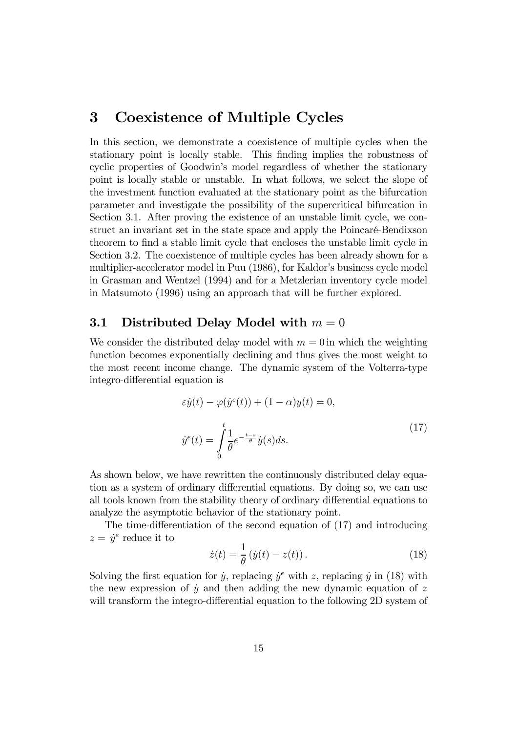# 3 Coexistence of Multiple Cycles

In this section, we demonstrate a coexistence of multiple cycles when the stationary point is locally stable. This finding implies the robustness of cyclic properties of Goodwin's model regardless of whether the stationary point is locally stable or unstable. In what follows, we select the slope of the investment function evaluated at the stationary point as the bifurcation parameter and investigate the possibility of the supercritical bifurcation in Section 3.1. After proving the existence of an unstable limit cycle, we construct an invariant set in the state space and apply the Poincaré-Bendixson theorem to find a stable limit cycle that encloses the unstable limit cycle in Section 3.2. The coexistence of multiple cycles has been already shown for a multiplier-accelerator model in Puu (1986), for Kaldor's business cycle model in Grasman and Wentzel (1994) and for a Metzlerian inventory cycle model in Matsumoto (1996) using an approach that will be further explored.

## 3.1 Distributed Delay Model with  $m = 0$

We consider the distributed delay model with  $m = 0$  in which the weighting function becomes exponentially declining and thus gives the most weight to the most recent income change. The dynamic system of the Volterra-type integro-differential equation is

$$
\varepsilon \dot{y}(t) - \varphi(\dot{y}^e(t)) + (1 - \alpha)y(t) = 0,
$$
  

$$
\dot{y}^e(t) = \int_0^t \frac{1}{\theta} e^{-\frac{t-s}{\theta}} \dot{y}(s) ds.
$$
 (17)

As shown below, we have rewritten the continuously distributed delay equation as a system of ordinary differential equations. By doing so, we can use all tools known from the stability theory of ordinary differential equations to analyze the asymptotic behavior of the stationary point.

The time-differentiation of the second equation of (17) and introducing  $z = \dot{y}^e$  reduce it to

$$
\dot{z}(t) = \frac{1}{\theta} \left( \dot{y}(t) - z(t) \right). \tag{18}
$$

Solving the first equation for  $\dot{y}$ , replacing  $\dot{y}^e$  with z, replacing  $\dot{y}$  in (18) with the new expression of  $\dot{y}$  and then adding the new dynamic equation of z will transform the integro-differential equation to the following 2D system of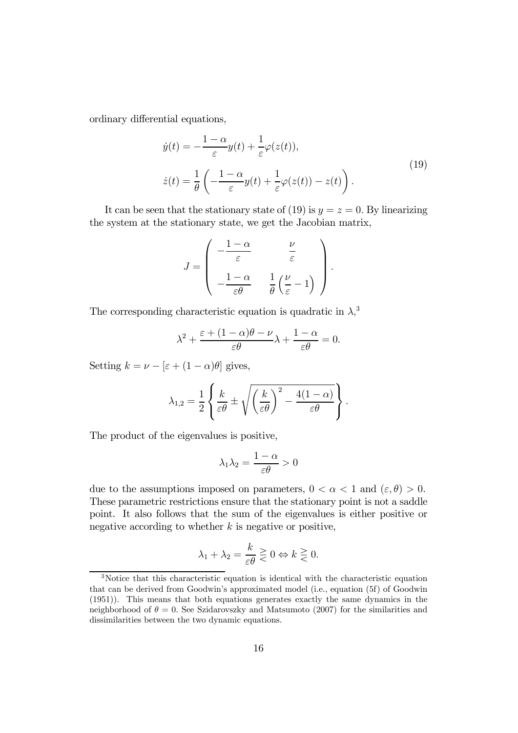ordinary differential equations,

$$
\dot{y}(t) = -\frac{1-\alpha}{\varepsilon}y(t) + \frac{1}{\varepsilon}\varphi(z(t)),
$$
\n
$$
\dot{z}(t) = \frac{1}{\theta}\left(-\frac{1-\alpha}{\varepsilon}y(t) + \frac{1}{\varepsilon}\varphi(z(t)) - z(t)\right).
$$
\n(19)

It can be seen that the stationary state of (19) is  $y = z = 0$ . By linearizing the system at the stationary state, we get the Jacobian matrix,

$$
J = \begin{pmatrix} -\frac{1-\alpha}{\varepsilon} & \frac{\nu}{\varepsilon} \\ -\frac{1-\alpha}{\varepsilon\theta} & \frac{1}{\theta} \left( \frac{\nu}{\varepsilon} - 1 \right) \end{pmatrix}.
$$

The corresponding characteristic equation is quadratic in  $\lambda$ ,<sup>3</sup>

$$
\lambda^2 + \frac{\varepsilon + (1 - \alpha)\theta - \nu}{\varepsilon\theta} \lambda + \frac{1 - \alpha}{\varepsilon\theta} = 0.
$$

Setting  $k = \nu - \left[\varepsilon + (1 - \alpha)\theta\right]$  gives,

$$
\lambda_{1,2} = \frac{1}{2} \left\{ \frac{k}{\varepsilon \theta} \pm \sqrt{\left(\frac{k}{\varepsilon \theta}\right)^2 - \frac{4(1-\alpha)}{\varepsilon \theta}} \right\}.
$$

The product of the eigenvalues is positive,

$$
\lambda_1 \lambda_2 = \frac{1 - \alpha}{\varepsilon \theta} > 0
$$

due to the assumptions imposed on parameters,  $0 < \alpha < 1$  and  $(\varepsilon, \theta) > 0$ . These parametric restrictions ensure that the stationary point is not a saddle point. It also follows that the sum of the eigenvalues is either positive or negative according to whether  $k$  is negative or positive,

$$
\lambda_1 + \lambda_2 = \frac{k}{\varepsilon \theta} \gtreqless 0 \Leftrightarrow k \gtreqless 0.
$$

<sup>3</sup>Notice that this characteristic equation is identical with the characteristic equation that can be derived from Goodwin's approximated model (i.e., equation (5f) of Goodwin (1951)). This means that both equations generates exactly the same dynamics in the neighborhood of  $\theta = 0$ . See Szidarovszky and Matsumoto (2007) for the similarities and dissimilarities between the two dynamic equations.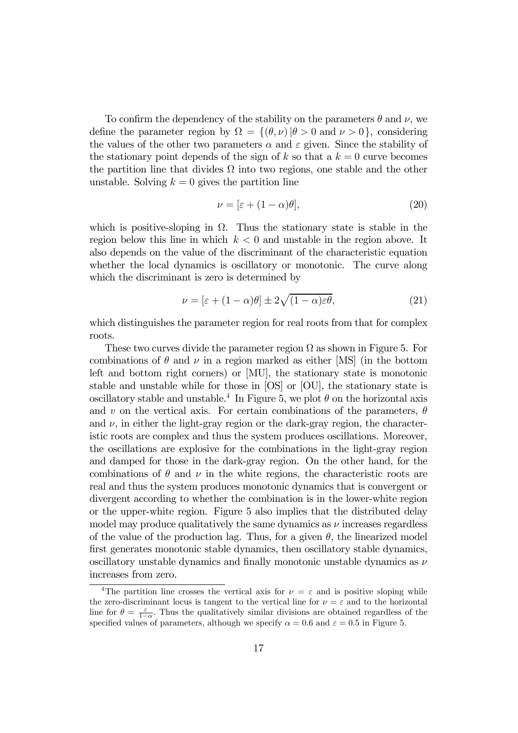To confirm the dependency of the stability on the parameters  $\theta$  and  $\nu$ , we define the parameter region by  $\Omega = \{(\theta, \nu) | \theta > 0 \text{ and } \nu > 0\}$ , considering the values of the other two parameters  $\alpha$  and  $\varepsilon$  given. Since the stability of the stationary point depends of the sign of k so that a  $k = 0$  curve becomes the partition line that divides  $\Omega$  into two regions, one stable and the other unstable. Solving  $k = 0$  gives the partition line

$$
\nu = [\varepsilon + (1 - \alpha)\theta],\tag{20}
$$

which is positive-sloping in  $\Omega$ . Thus the stationary state is stable in the region below this line in which  $k < 0$  and unstable in the region above. It also depends on the value of the discriminant of the characteristic equation whether the local dynamics is oscillatory or monotonic. The curve along which the discriminant is zero is determined by

$$
\nu = \left[\varepsilon + (1 - \alpha)\theta\right] \pm 2\sqrt{(1 - \alpha)\varepsilon\theta},\tag{21}
$$

which distinguishes the parameter region for real roots from that for complex roots.

These two curves divide the parameter region  $\Omega$  as shown in Figure 5. For combinations of  $\theta$  and  $\nu$  in a region marked as either [MS] (in the bottom left and bottom right corners) or [MU], the stationary state is monotonic stable and unstable while for those in [OS] or [OU], the stationary state is oscillatory stable and unstable.<sup>4</sup> In Figure 5, we plot  $\theta$  on the horizontal axis and v on the vertical axis. For certain combinations of the parameters,  $\theta$ and  $\nu$ , in either the light-gray region or the dark-gray region, the characteristic roots are complex and thus the system produces oscillations. Moreover, the oscillations are explosive for the combinations in the light-gray region and damped for those in the dark-gray region. On the other hand, for the combinations of  $\theta$  and  $\nu$  in the white regions, the characteristic roots are real and thus the system produces monotonic dynamics that is convergent or divergent according to whether the combination is in the lower-white region or the upper-white region. Figure 5 also implies that the distributed delay model may produce qualitatively the same dynamics as  $\nu$  increases regardless of the value of the production lag. Thus, for a given  $\theta$ , the linearized model first generates monotonic stable dynamics, then oscillatory stable dynamics, oscillatory unstable dynamics and finally monotonic unstable dynamics as  $\nu$ increases from zero.

<sup>&</sup>lt;sup>4</sup>The partition line crosses the vertical axis for  $\nu = \varepsilon$  and is positive sloping while the zero-discriminant locus is tangent to the vertical line for  $\nu = \varepsilon$  and to the horizontal line for  $\theta = \frac{\varepsilon}{1-\alpha}$ . Thus the qualitatively similar divisions are obtained regardless of the specified values of parameters, although we specify  $\alpha = 0.6$  and  $\varepsilon = 0.5$  in Figure 5.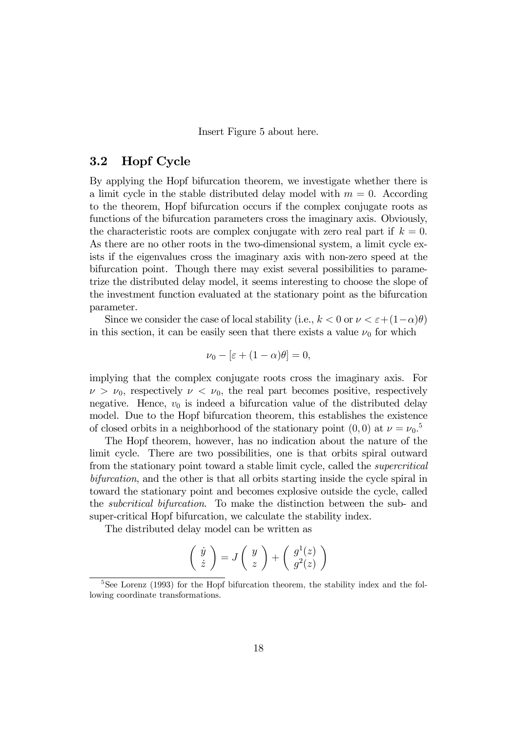Insert Figure 5 about here.

### 3.2 Hopf Cycle

By applying the Hopf bifurcation theorem, we investigate whether there is a limit cycle in the stable distributed delay model with  $m = 0$ . According to the theorem, Hopf bifurcation occurs if the complex conjugate roots as functions of the bifurcation parameters cross the imaginary axis. Obviously, the characteristic roots are complex conjugate with zero real part if  $k = 0$ . As there are no other roots in the two-dimensional system, a limit cycle exists if the eigenvalues cross the imaginary axis with non-zero speed at the bifurcation point. Though there may exist several possibilities to parametrize the distributed delay model, it seems interesting to choose the slope of the investment function evaluated at the stationary point as the bifurcation parameter.

Since we consider the case of local stability (i.e.,  $k < 0$  or  $\nu < \varepsilon + (1-\alpha)\theta$ ) in this section, it can be easily seen that there exists a value  $\nu_0$  for which

$$
\nu_0 - [\varepsilon + (1 - \alpha)\theta] = 0,
$$

implying that the complex conjugate roots cross the imaginary axis. For  $\nu > \nu_0$ , respectively  $\nu < \nu_0$ , the real part becomes positive, respectively negative. Hence,  $v_0$  is indeed a bifurcation value of the distributed delay model. Due to the Hopf bifurcation theorem, this establishes the existence of closed orbits in a neighborhood of the stationary point  $(0,0)$  at  $\nu = \nu_0$ .<sup>5</sup>

The Hopf theorem, however, has no indication about the nature of the limit cycle. There are two possibilities, one is that orbits spiral outward from the stationary point toward a stable limit cycle, called the supercritical bifurcation, and the other is that all orbits starting inside the cycle spiral in toward the stationary point and becomes explosive outside the cycle, called the subcritical bifurcation. To make the distinction between the sub- and super-critical Hopf bifurcation, we calculate the stability index.

The distributed delay model can be written as

$$
\left(\begin{array}{c} \dot{y} \\ \dot{z} \end{array}\right) = J\left(\begin{array}{c} y \\ z \end{array}\right) + \left(\begin{array}{c} g^1(z) \\ g^2(z) \end{array}\right)
$$

<sup>&</sup>lt;sup>5</sup>See Lorenz (1993) for the Hopf bifurcation theorem, the stability index and the following coordinate transformations.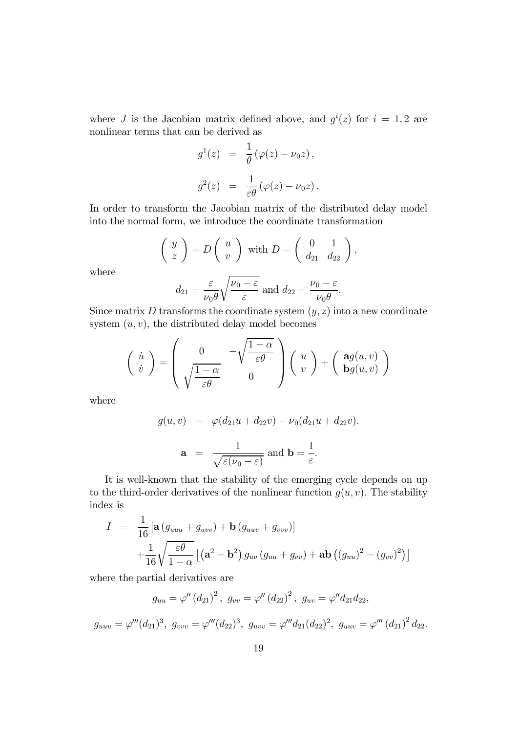where J is the Jacobian matrix defined above, and  $g^{i}(z)$  for  $i = 1, 2$  are nonlinear terms that can be derived as

$$
g^{1}(z) = \frac{1}{\theta} (\varphi(z) - \nu_{0} z),
$$
  

$$
g^{2}(z) = \frac{1}{\varepsilon \theta} (\varphi(z) - \nu_{0} z).
$$

In order to transform the Jacobian matrix of the distributed delay model into the normal form, we introduce the coordinate transformation

$$
\left(\begin{array}{c}y\\z\end{array}\right)=D\left(\begin{array}{c}u\\v\end{array}\right)
$$
 with  $D=\left(\begin{array}{cc}0&1\\d_{21}&d_{22}\end{array}\right)$ ,

where

$$
d_{21} = \frac{\varepsilon}{\nu_0 \theta} \sqrt{\frac{\nu_0 - \varepsilon}{\varepsilon}}
$$
 and  $d_{22} = \frac{\nu_0 - \varepsilon}{\nu_0 \theta}$ .

Since matrix  $D$  transforms the coordinate system  $(y, z)$  into a new coordinate system  $(u, v)$ , the distributed delay model becomes

$$
\begin{pmatrix}\n\dot{u} \\
\dot{v}\n\end{pmatrix} = \begin{pmatrix}\n0 & -\sqrt{\frac{1-\alpha}{\varepsilon\theta}} \\
\sqrt{\frac{1-\alpha}{\varepsilon\theta}} & 0\n\end{pmatrix} \begin{pmatrix}\nu \\
v\n\end{pmatrix} + \begin{pmatrix}\n\mathbf{a}g(u,v) \\
\mathbf{b}g(u,v)\n\end{pmatrix}
$$

where

$$
g(u, v) = \varphi(d_{21}u + d_{22}v) - \nu_0(d_{21}u + d_{22}v).
$$
  

$$
\mathbf{a} = \frac{1}{\sqrt{\varepsilon(\nu_0 - \varepsilon)}} \text{ and } \mathbf{b} = \frac{1}{\varepsilon}.
$$

It is well-known that the stability of the emerging cycle depends on up to the third-order derivatives of the nonlinear function  $g(u, v)$ . The stability index is

$$
I = \frac{1}{16} \left[ \mathbf{a} \left( g_{uuu} + g_{uvv} \right) + \mathbf{b} \left( g_{uuv} + g_{vvv} \right) \right]
$$

$$
+ \frac{1}{16} \sqrt{\frac{\varepsilon \theta}{1 - \alpha}} \left[ \left( \mathbf{a}^2 - \mathbf{b}^2 \right) g_{uv} \left( g_{uu} + g_{vv} \right) + \mathbf{a} \mathbf{b} \left( \left( g_{uu} \right)^2 - \left( g_{vv} \right)^2 \right) \right]
$$

where the partial derivatives are

$$
g_{uu} = \varphi'' (d_{21})^2, \ g_{vv} = \varphi'' (d_{22})^2, \ g_{uv} = \varphi'' d_{21} d_{22},
$$

 $g_{uuu} = \varphi'''(d_{21})^3, \ g_{vvv} = \varphi'''(d_{22})^3, \ g_{uvv} = \varphi'''d_{21}(d_{22})^2, \ g_{uuv} = \varphi'''(d_{21})^2\,d_{22}.$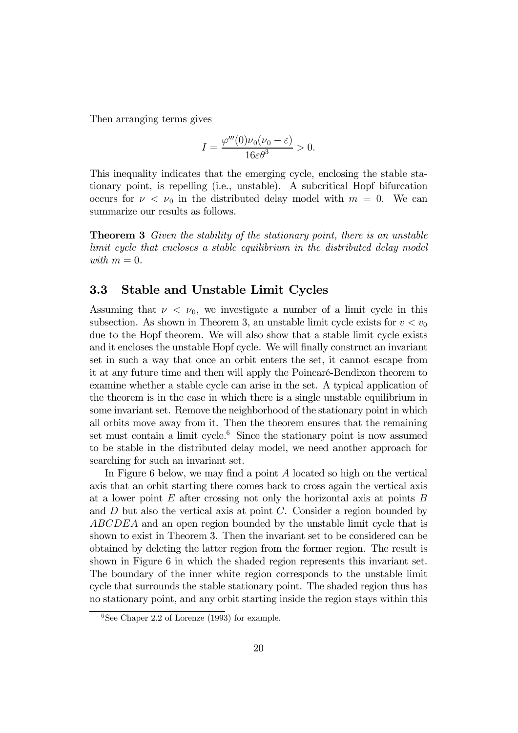Then arranging terms gives

$$
I = \frac{\varphi'''(0)\nu_0(\nu_0 - \varepsilon)}{16\varepsilon\theta^3} > 0.
$$

This inequality indicates that the emerging cycle, enclosing the stable stationary point, is repelling (i.e., unstable). A subcritical Hopf bifurcation occurs for  $\nu < \nu_0$  in the distributed delay model with  $m = 0$ . We can summarize our results as follows.

**Theorem 3** Given the stability of the stationary point, there is an unstable limit cycle that encloses a stable equilibrium in the distributed delay model with  $m = 0$ .

### 3.3 Stable and Unstable Limit Cycles

Assuming that  $\nu < \nu_0$ , we investigate a number of a limit cycle in this subsection. As shown in Theorem 3, an unstable limit cycle exists for  $v < v_0$ due to the Hopf theorem. We will also show that a stable limit cycle exists and it encloses the unstable Hopf cycle. We will finally construct an invariant set in such a way that once an orbit enters the set, it cannot escape from it at any future time and then will apply the Poincaré-Bendixon theorem to examine whether a stable cycle can arise in the set. A typical application of the theorem is in the case in which there is a single unstable equilibrium in some invariant set. Remove the neighborhood of the stationary point in which all orbits move away from it. Then the theorem ensures that the remaining set must contain a limit cycle.<sup>6</sup> Since the stationary point is now assumed to be stable in the distributed delay model, we need another approach for searching for such an invariant set.

In Figure 6 below, we may find a point A located so high on the vertical axis that an orbit starting there comes back to cross again the vertical axis at a lower point  $E$  after crossing not only the horizontal axis at points  $B$ and  $D$  but also the vertical axis at point  $C$ . Consider a region bounded by ABCDEA and an open region bounded by the unstable limit cycle that is shown to exist in Theorem 3. Then the invariant set to be considered can be obtained by deleting the latter region from the former region. The result is shown in Figure 6 in which the shaded region represents this invariant set. The boundary of the inner white region corresponds to the unstable limit cycle that surrounds the stable stationary point. The shaded region thus has no stationary point, and any orbit starting inside the region stays within this

 $6$ See Chaper 2.2 of Lorenze (1993) for example.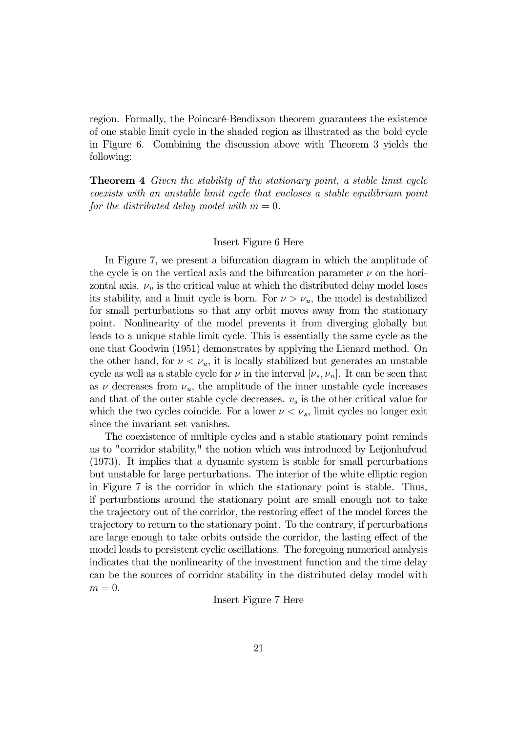region. Formally, the Poincaré-Bendixson theorem guarantees the existence of one stable limit cycle in the shaded region as illustrated as the bold cycle in Figure 6. Combining the discussion above with Theorem 3 yields the following:

Theorem 4 Given the stability of the stationary point, a stable limit cycle coexists with an unstable limit cycle that encloses a stable equilibrium point for the distributed delay model with  $m = 0$ .

#### Insert Figure 6 Here

In Figure 7, we present a bifurcation diagram in which the amplitude of the cycle is on the vertical axis and the bifurcation parameter  $\nu$  on the horizontal axis.  $\nu_u$  is the critical value at which the distributed delay model loses its stability, and a limit cycle is born. For  $\nu > \nu_u$ , the model is destabilized for small perturbations so that any orbit moves away from the stationary point. Nonlinearity of the model prevents it from diverging globally but leads to a unique stable limit cycle. This is essentially the same cycle as the one that Goodwin (1951) demonstrates by applying the Lienard method. On the other hand, for  $\nu < \nu_u$ , it is locally stabilized but generates an unstable cycle as well as a stable cycle for  $\nu$  in the interval  $[\nu_s, \nu_u]$ . It can be seen that as  $\nu$  decreases from  $\nu_u$ , the amplitude of the inner unstable cycle increases and that of the outer stable cycle decreases.  $v<sub>s</sub>$  is the other critical value for which the two cycles coincide. For a lower  $\nu < \nu_s$ , limit cycles no longer exit since the invariant set vanishes.

The coexistence of multiple cycles and a stable stationary point reminds us to "corridor stability," the notion which was introduced by Leijonhufvud (1973). It implies that a dynamic system is stable for small perturbations but unstable for large perturbations. The interior of the white elliptic region in Figure 7 is the corridor in which the stationary point is stable. Thus, if perturbations around the stationary point are small enough not to take the trajectory out of the corridor, the restoring effect of the model forces the trajectory to return to the stationary point. To the contrary, if perturbations are large enough to take orbits outside the corridor, the lasting effect of the model leads to persistent cyclic oscillations. The foregoing numerical analysis indicates that the nonlinearity of the investment function and the time delay can be the sources of corridor stability in the distributed delay model with  $m = 0$ .

Insert Figure 7 Here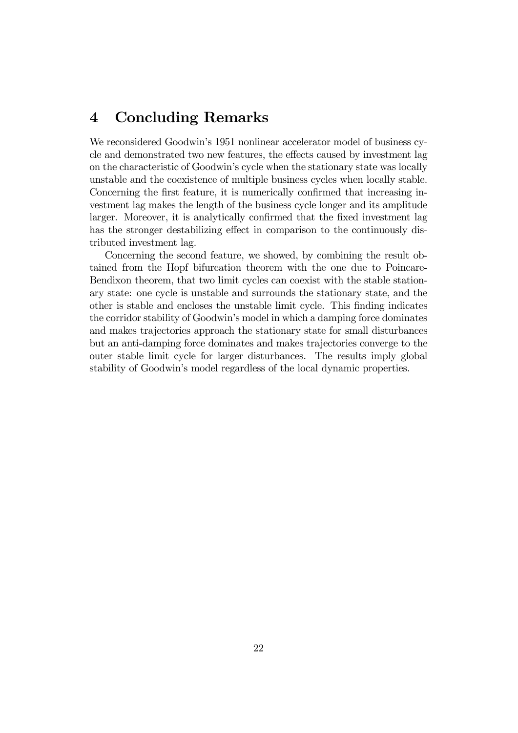# 4 Concluding Remarks

We reconsidered Goodwin's 1951 nonlinear accelerator model of business cycle and demonstrated two new features, the effects caused by investment lag on the characteristic of Goodwin's cycle when the stationary state was locally unstable and the coexistence of multiple business cycles when locally stable. Concerning the first feature, it is numerically confirmed that increasing investment lag makes the length of the business cycle longer and its amplitude larger. Moreover, it is analytically confirmed that the fixed investment lag has the stronger destabilizing effect in comparison to the continuously distributed investment lag.

Concerning the second feature, we showed, by combining the result obtained from the Hopf bifurcation theorem with the one due to Poincare-Bendixon theorem, that two limit cycles can coexist with the stable stationary state: one cycle is unstable and surrounds the stationary state, and the other is stable and encloses the unstable limit cycle. This finding indicates the corridor stability of Goodwin's model in which a damping force dominates and makes trajectories approach the stationary state for small disturbances but an anti-damping force dominates and makes trajectories converge to the outer stable limit cycle for larger disturbances. The results imply global stability of Goodwin's model regardless of the local dynamic properties.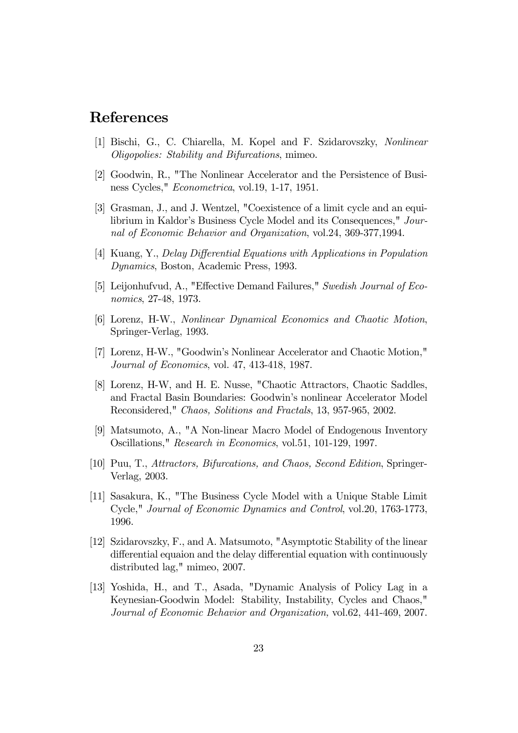# References

- [1] Bischi, G., C. Chiarella, M. Kopel and F. Szidarovszky, Nonlinear Oligopolies: Stability and Bifurcations, mimeo.
- [2] Goodwin, R., "The Nonlinear Accelerator and the Persistence of Business Cycles," Econometrica, vol.19, 1-17, 1951.
- [3] Grasman, J., and J. Wentzel, "Coexistence of a limit cycle and an equilibrium in Kaldor's Business Cycle Model and its Consequences," Journal of Economic Behavior and Organization, vol.24, 369-377,1994.
- [4] Kuang, Y., Delay Differential Equations with Applications in Population Dynamics, Boston, Academic Press, 1993.
- [5] Leijonhufvud, A., "Effective Demand Failures," Swedish Journal of Economics, 27-48, 1973.
- [6] Lorenz, H-W., Nonlinear Dynamical Economics and Chaotic Motion, Springer-Verlag, 1993.
- [7] Lorenz, H-W., "Goodwin's Nonlinear Accelerator and Chaotic Motion," Journal of Economics, vol. 47, 413-418, 1987.
- [8] Lorenz, H-W, and H. E. Nusse, "Chaotic Attractors, Chaotic Saddles, and Fractal Basin Boundaries: Goodwin's nonlinear Accelerator Model Reconsidered," Chaos, Solitions and Fractals, 13, 957-965, 2002.
- [9] Matsumoto, A., "A Non-linear Macro Model of Endogenous Inventory Oscillations," Research in Economics, vol.51, 101-129, 1997.
- [10] Puu, T., Attractors, Bifurcations, and Chaos, Second Edition, Springer-Verlag, 2003.
- [11] Sasakura, K., "The Business Cycle Model with a Unique Stable Limit Cycle," Journal of Economic Dynamics and Control, vol.20, 1763-1773, 1996.
- [12] Szidarovszky, F., and A. Matsumoto, "Asymptotic Stability of the linear differential equaion and the delay differential equation with continuously distributed lag," mimeo, 2007.
- [13] Yoshida, H., and T., Asada, "Dynamic Analysis of Policy Lag in a Keynesian-Goodwin Model: Stability, Instability, Cycles and Chaos," Journal of Economic Behavior and Organization, vol.62, 441-469, 2007.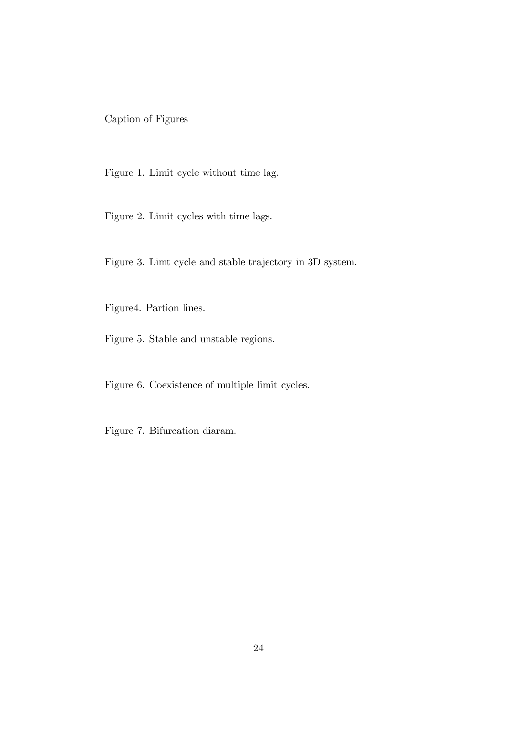Caption of Figures

Figure 1. Limit cycle without time lag.

Figure 2. Limit cycles with time lags.

Figure 3. Limt cycle and stable trajectory in 3D system.

Figure4. Partion lines.

Figure 5. Stable and unstable regions.

Figure 6. Coexistence of multiple limit cycles.

Figure 7. Bifurcation diaram.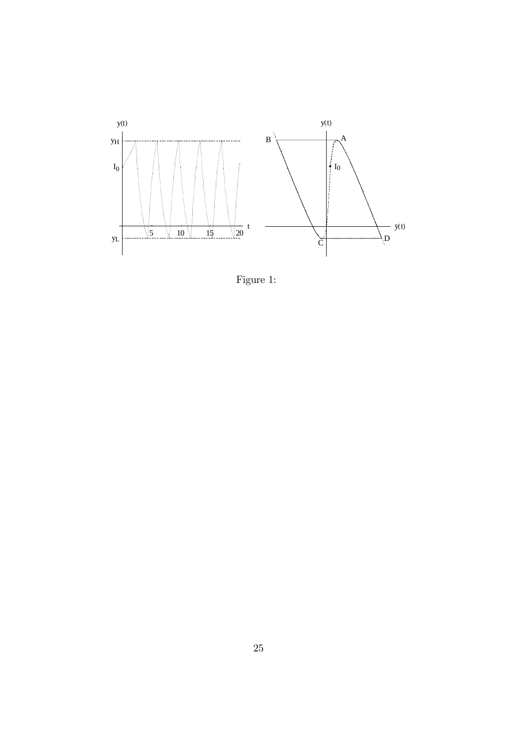

Figure 1: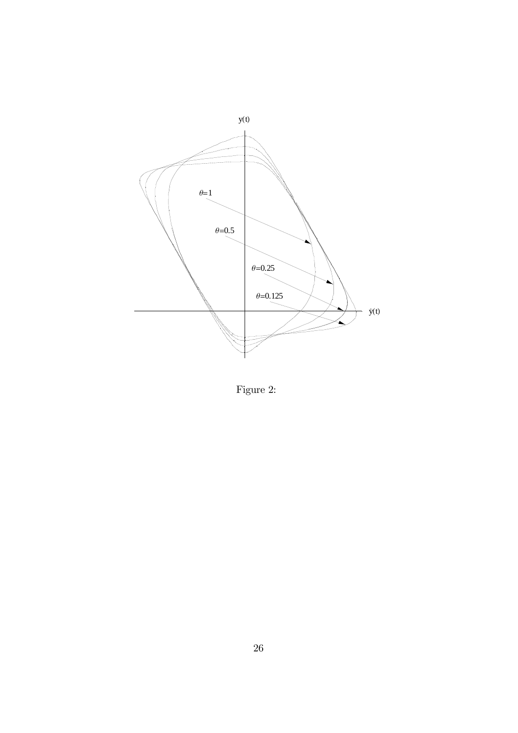

Figure 2: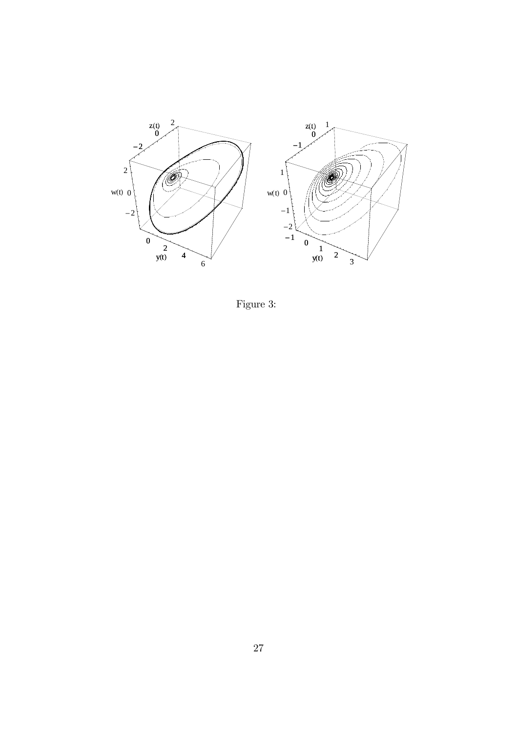

Figure 3: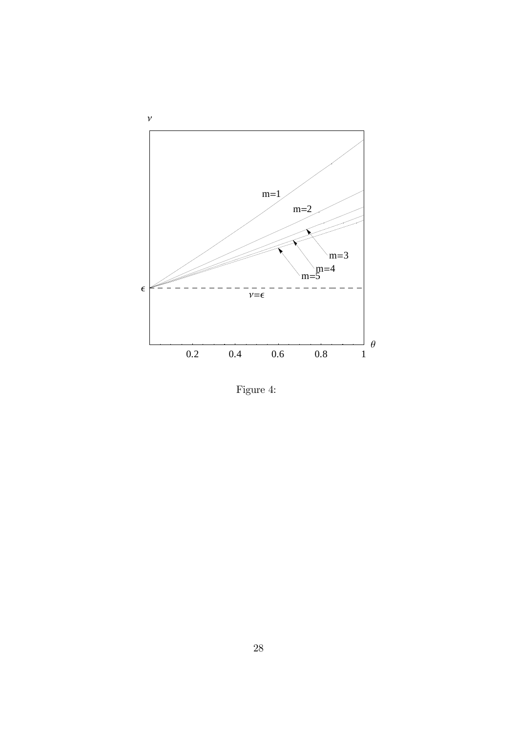

Figure 4: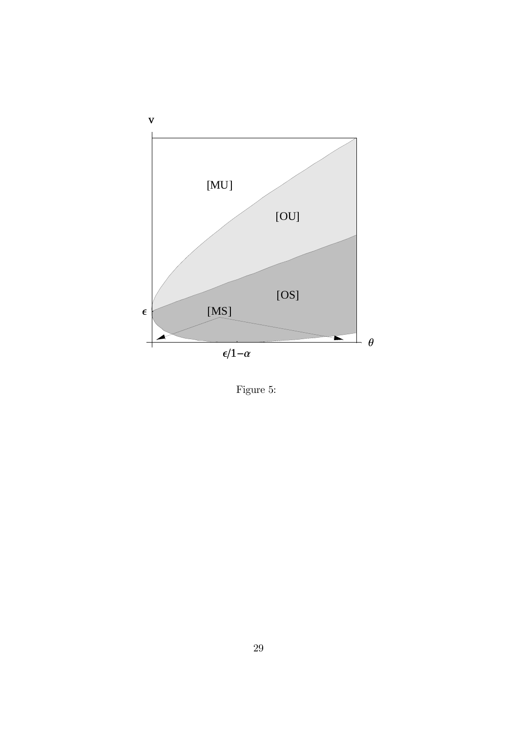

Figure 5: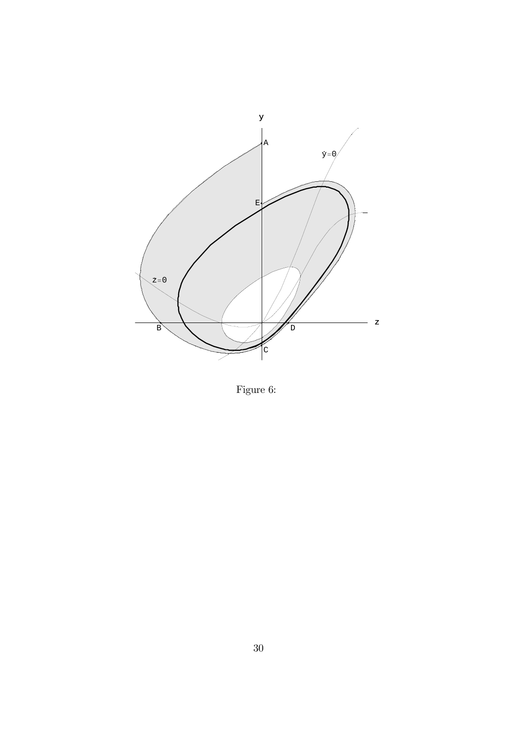

Figure 6: